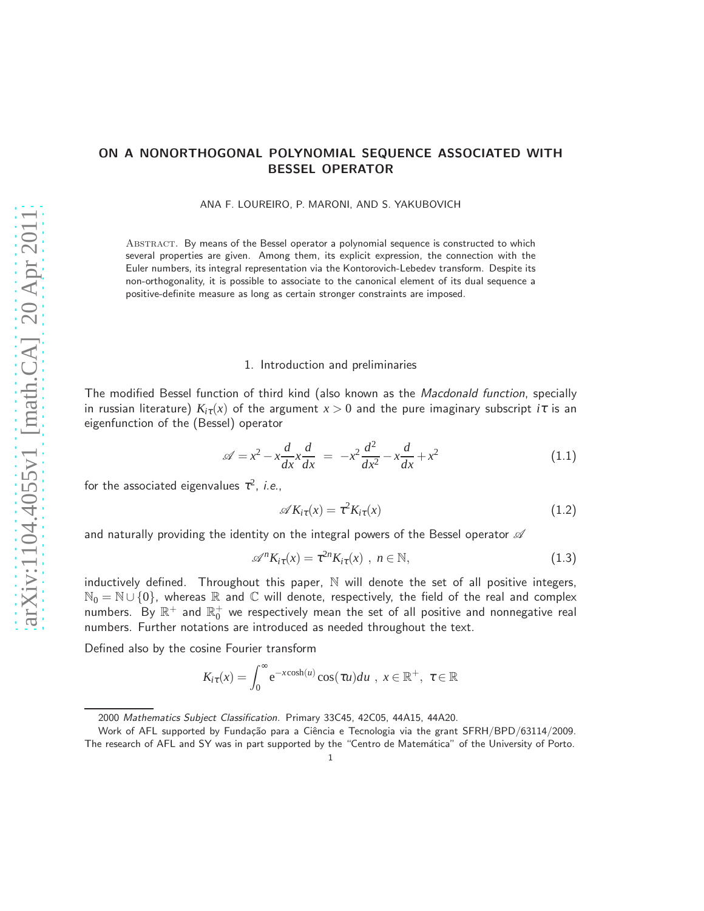# ON A NONORTHOGONAL POLYNOMIAL SEQUENCE ASSOCIATED WITH BESSEL OPERATOR

ANA F. LOUREIRO, P. MARONI, AND S. YAKUBOVICH

ABSTRACT. By means of the Bessel operator a polynomial sequence is constructed to which several properties are given. Among them, its explicit expression, the connection with the Euler numbers, its integral representation via the Kontorovich-Lebedev transform. Despite its non-orthogonality, it is possible to associate to the canonical element of its dual sequence a positive-definite measure as long as certain stronger constraints are imposed.

### 1. Introduction and preliminaries

The modified Bessel function of third kind (also known as the *Macdonald function*, specially in russian literature)  $K_i(\tau)$  of the argument  $x > 0$  and the pure imaginary subscript  $i\tau$  is an eigenfunction of the (Bessel) operator

$$
\mathscr{A} = x^2 - x \frac{d}{dx} x \frac{d}{dx} = -x^2 \frac{d^2}{dx^2} - x \frac{d}{dx} + x^2 \tag{1.1}
$$

for the associated eigenvalues  $\tau^2$ , *i.e.*,

$$
\mathscr{A}K_{i\tau}(x) = \tau^2 K_{i\tau}(x) \tag{1.2}
$$

and naturally providing the identity on the integral powers of the Bessel operator  $\mathscr A$ 

<span id="page-0-0"></span>
$$
\mathscr{A}^n K_{i\tau}(x) = \tau^{2n} K_{i\tau}(x) , n \in \mathbb{N}, \qquad (1.3)
$$

inductively defined. Throughout this paper,  $\mathbb N$  will denote the set of all positive integers,  $\mathbb{N}_0 = \mathbb{N} \cup \{0\}$ , whereas  $\mathbb R$  and  $\mathbb C$  will denote, respectively, the field of the real and complex numbers. By  $\mathbb{R}^+$  and  $\mathbb{R}^+_0$  we respectively mean the set of all positive and nonnegative real numbers. Further notations are introduced as needed throughout the text.

Defined also by the cosine Fourier transform

$$
K_{i\tau}(x) = \int_0^\infty e^{-x \cosh(u)} \cos(\tau u) du , x \in \mathbb{R}^+, \ \tau \in \mathbb{R}
$$

<sup>2000</sup> Mathematics Subject Classification. Primary 33C45, 42C05, 44A15, 44A20.

Work of AFL supported by Fundação para a Ciência e Tecnologia via the grant SFRH/BPD/63114/2009. The research of AFL and SY was in part supported by the "Centro de Matemática" of the University of Porto.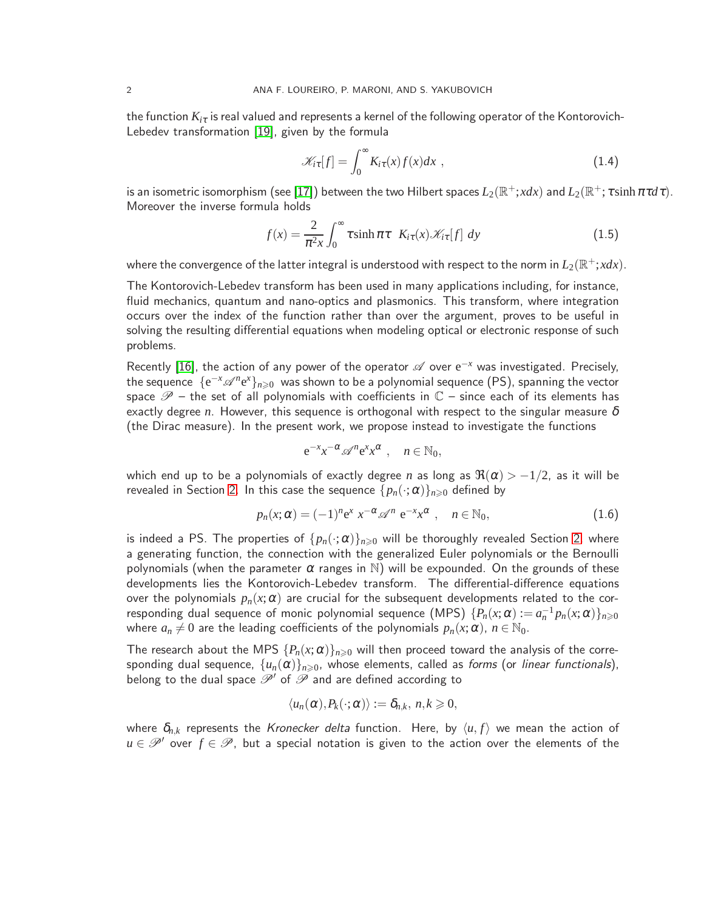the function  $K_{i\tau}$  is real valued and represents a kernel of the following operator of the Kontorovich-Lebedev transformation [\[19\]](#page-15-0), given by the formula

<span id="page-1-1"></span>
$$
\mathcal{K}_{i\tau}[f] = \int_0^\infty K_{i\tau}(x)f(x)dx \tag{1.4}
$$

is an isometric isomorphism (see [\[17\]](#page-15-1)) between the two Hilbert spaces  $L_2(\R^+;xdx)$  and  $L_2(\R^+;\tau\sinh\pi\tau d\tau)$ . Moreover the inverse formula holds

$$
f(x) = \frac{2}{\pi^2 x} \int_0^\infty \tau \sinh \pi \tau \quad K_{i\tau}(x) \mathcal{K}_{i\tau}[f] \, dy \tag{1.5}
$$

where the convergence of the latter integral is understood with respect to the norm in  $L_2(\mathbb R^+;xdx)$ .

The Kontorovich-Lebedev transform has been used in many applications including, for instance, fluid mechanics, quantum and nano-optics and plasmonics. This transform, where integration occurs over the index of the function rather than over the argument, proves to be useful in solving the resulting differential equations when modeling optical or electronic response of such problems.

Recently [\[16\]](#page-15-2), the action of any power of the operator  $\mathscr A$  over  $e^{-x}$  was investigated. Precisely, the sequence  $\{e^{-x}\mathscr{A}^n e^x\}_{n\geqslant0}$  was shown to be a polynomial sequence (PS), spanning the vector space  $\mathscr{P}$  – the set of all polynomials with coefficients in  $\mathbb{C}$  – since each of its elements has exactly degree *n*. However, this sequence is orthogonal with respect to the singular measure  $\delta$ (the Dirac measure). In the present work, we propose instead to investigate the functions

$$
e^{-x}x^{-\alpha} \mathscr{A}^n e^x x^{\alpha} , \quad n \in \mathbb{N}_0,
$$

which end up to be a polynomials of exactly degree *n* as long as  $\Re(\alpha) > -1/2$ , as it will be revealed in Section [2.](#page-2-0) In this case the sequence  ${p_n(\cdot;\alpha)}_{n\geq 0}$  defined by

<span id="page-1-0"></span>
$$
p_n(x; \alpha) = (-1)^n e^x x^{-\alpha} \mathscr{A}^n e^{-x} x^{\alpha} , \quad n \in \mathbb{N}_0,
$$
 (1.6)

is indeed a PS. The properties of  $\{p_n(\cdot;\alpha)\}_{n\geq 0}$  will be thoroughly revealed Section [2,](#page-2-0) where a generating function, the connection with the generalized Euler polynomials or the Bernoulli polynomials (when the parameter  $\alpha$  ranges in N) will be expounded. On the grounds of these developments lies the Kontorovich-Lebedev transform. The differential-difference equations over the polynomials  $p_n(x; \alpha)$  are crucial for the subsequent developments related to the corresponding dual sequence of monic polynomial sequence (MPS)  $\{P_n(x;\alpha) := a_n^{-1}p_n(x;\alpha)\}_{n\geq 0}$ where  $a_n \neq 0$  are the leading coefficients of the polynomials  $p_n(x; \alpha)$ ,  $n \in \mathbb{N}_0$ .

The research about the MPS  ${P_n(x; \alpha)}_{n\geqslant0}$  will then proceed toward the analysis of the corresponding dual sequence,  $\{u_n(\alpha)\}_{n\geqslant 0}$ , whose elements, called as forms (or *linear functionals*), belong to the dual space  $\mathcal{P}'$  of  $\mathcal P$  and are defined according to

$$
\langle u_n(\alpha), P_k(\cdot; \alpha) \rangle := \delta_{n,k}, n, k \geq 0,
$$

where  $\delta_{n,k}$  represents the *Kronecker delta* function. Here, by  $\langle u, f \rangle$  we mean the action of  $u \in \mathscr{P}'$  over  $f \in \mathscr{P}$ , but a special notation is given to the action over the elements of the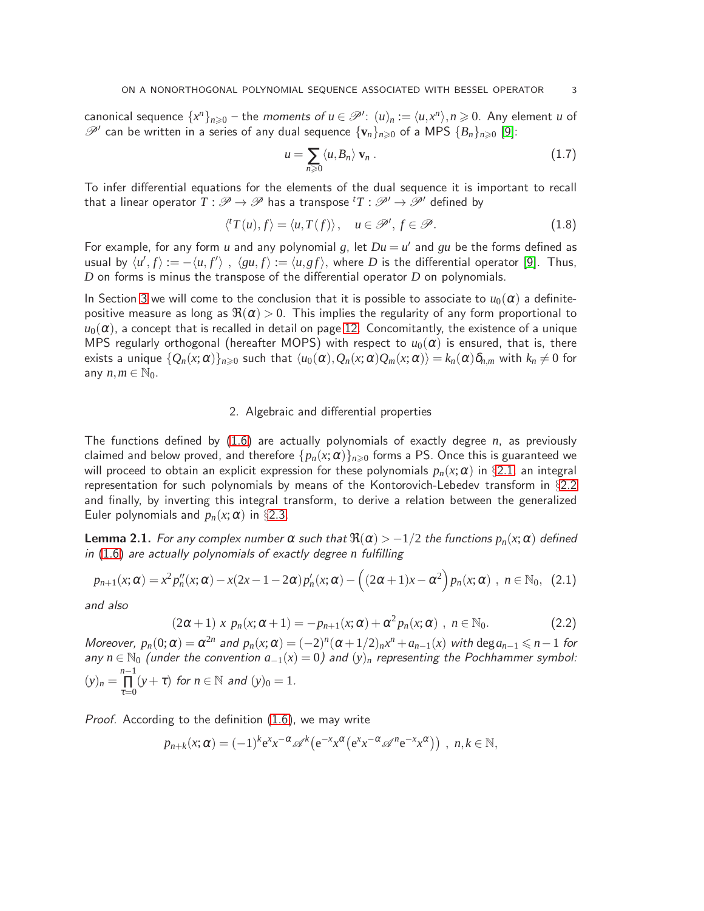canonical sequence  $\{x^n\}_{n\geqslant 0}$  – the moments of  $u \in \mathcal{P}'$ :  $(u)_n := \langle u, x^n \rangle, n \geqslant 0$ . Any element *u* of  $\mathscr{P}'$  can be written in a series of any dual sequence  $\{v_n\}_{n\geqslant 0}$  of a MPS  $\{B_n\}_{n\geqslant 0}$  [\[9\]](#page-15-3):

<span id="page-2-4"></span>
$$
u = \sum_{n\geqslant 0} \langle u, B_n \rangle \, \mathbf{v}_n \, . \tag{1.7}
$$

To infer differential equations for the elements of the dual sequence it is important to recall that a linear operator  $T : \mathscr{P} \to \mathscr{P}$  has a transpose  ${}^{t}T : \mathscr{P}' \to \mathscr{P}'$  defined by

<span id="page-2-3"></span>
$$
\langle {}^{t}T(u), f\rangle = \langle u, T(f)\rangle, \quad u \in \mathscr{P}', f \in \mathscr{P}.
$$
 (1.8)

For example, for any form *u* and any polynomial *g*, let  $Du = u'$  and *gu* be the forms defined as usual by  $\langle u', f \rangle := -\langle u, f' \rangle$  ,  $\langle gu, f \rangle := \langle u, gf \rangle$ , where *D* is the differential operator [\[9\]](#page-15-3). Thus, *D* on forms is minus the transpose of the differential operator *D* on polynomials.

In Section [3](#page-9-0) we will come to the conclusion that it is possible to associate to  $u_0(\alpha)$  a definitepositive measure as long as  $\Re(\alpha) > 0$ . This implies the regularity of any form proportional to  $u_0(\alpha)$ , a concept that is recalled in detail on page [12.](#page-11-0) Concomitantly, the existence of a unique MPS regularly orthogonal (hereafter MOPS) with respect to  $u_0(\alpha)$  is ensured, that is, there exists a unique  $\{Q_n(x;\alpha)\}_n\}_{n\geqslant0}$  such that  $\langle u_0(\alpha),Q_n(x;\alpha)Q_m(x;\alpha)\rangle=k_n(\alpha)\delta_{n,m}$  with  $k_n\neq0$  for any  $n, m \in \mathbb{N}_0$ .

### 2. Algebraic and differential properties

<span id="page-2-0"></span>The functions defined by [\(1.6\)](#page-1-0) are actually polynomials of exactly degree *n*, as previously claimed and below proved, and therefore  $\{p_n(x; \alpha)\}_{n\geq 0}$  forms a PS. Once this is guaranteed we will proceed to obtain an explicit expression for these polynomials  $p_n(x; \alpha)$  in §[2.1,](#page-3-0) an integral representation for such polynomials by means of the Kontorovich-Lebedev transform in §[2.2](#page-5-0) and finally, by inverting this integral transform, to derive a relation between the generalized Euler polynomials and  $p_n(x; \alpha)$  in §[2.3.](#page-6-0)

**Lemma 2.1.** For any complex number  $\alpha$  such that  $\Re(\alpha) > -1/2$  the functions  $p_n(x; \alpha)$  defined in [\(1.6\)](#page-1-0) are actually polynomials of exactly degree *n* fulfilling

<span id="page-2-1"></span>
$$
p_{n+1}(x;\alpha) = x^2 p''_n(x;\alpha) - x(2x-1-2\alpha) p'_n(x;\alpha) - \left((2\alpha+1)x - \alpha^2\right) p_n(x;\alpha) , n \in \mathbb{N}_0, (2.1)
$$

and also

<span id="page-2-2"></span>
$$
(2\alpha+1) x p_n(x;\alpha+1) = -p_{n+1}(x;\alpha) + \alpha^2 p_n(x;\alpha) , n \in \mathbb{N}_0.
$$
 (2.2)

Moreover,  $p_n(0; \alpha) = \alpha^{2n}$  and  $p_n(x; \alpha) = (-2)^n(\alpha + 1/2)_n x^n + a_{n-1}(x)$  with  $\deg a_{n-1} \leq n-1$  for any  $n \in \mathbb{N}_0$  (under the convention  $a_{-1}(x) = 0$ ) and  $(y)_n$  representing the Pochhammer symbol:  $(y)_n = \prod^{n-1}$  $\prod_{\tau=0}^{n-1} (y+\tau)$  for  $n \in \mathbb{N}$  and  $(y)_0 = 1$ .

Proof. According to the definition [\(1.6\)](#page-1-0), we may write

$$
p_{n+k}(x;\alpha) = (-1)^k e^x x^{-\alpha} \mathscr{A}^k (e^{-x} x^{\alpha} (e^x x^{-\alpha} \mathscr{A}^n e^{-x} x^{\alpha})) , n,k \in \mathbb{N},
$$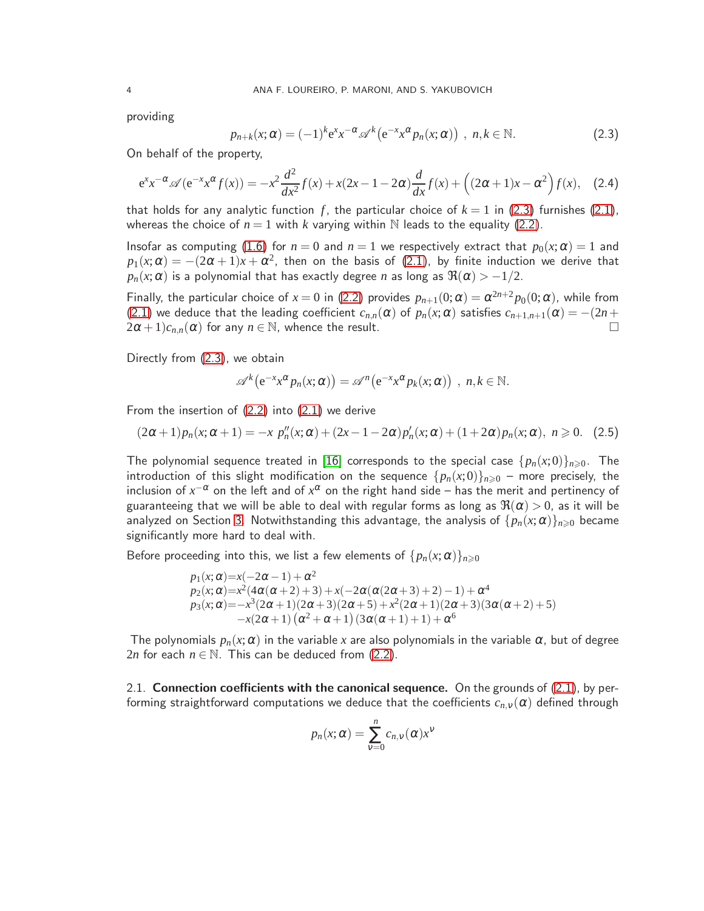providing

<span id="page-3-1"></span>
$$
p_{n+k}(x;\alpha) = (-1)^k e^x x^{-\alpha} \mathscr{A}^k(e^{-x} x^{\alpha} p_n(x;\alpha)), \quad n,k \in \mathbb{N}.
$$
 (2.3)

On behalf of the property,

<span id="page-3-2"></span>
$$
e^{x}x^{-\alpha} \mathscr{A}(e^{-x}x^{\alpha} f(x)) = -x^{2} \frac{d^{2}}{dx^{2}} f(x) + x(2x - 1 - 2\alpha) \frac{d}{dx} f(x) + ((2\alpha + 1)x - \alpha^{2}) f(x), \quad (2.4)
$$

that holds for any analytic function f, the particular choice of  $k = 1$  in [\(2.3\)](#page-3-1) furnishes [\(2.1\)](#page-2-1), whereas the choice of  $n = 1$  with k varying within N leads to the equality [\(2.2\)](#page-2-2).

Insofar as computing [\(1.6\)](#page-1-0) for  $n = 0$  and  $n = 1$  we respectively extract that  $p_0(x; \alpha) = 1$  and  $p_1(x; \alpha) = -(2\alpha + 1)x + \alpha^2$ , then on the basis of [\(2.1\)](#page-2-1), by finite induction we derive that  $p_n(x; \alpha)$  is a polynomial that has exactly degree *n* as long as  $\Re(\alpha) > -1/2$ .

Finally, the particular choice of  $x = 0$  in [\(2.2\)](#page-2-2) provides  $p_{n+1}(0; \alpha) = \alpha^{2n+2} p_0(0; \alpha)$ , while from [\(2.1\)](#page-2-1) we deduce that the leading coefficient  $c_{n,n}(\alpha)$  of  $p_n(x;\alpha)$  satisfies  $c_{n+1,n+1}(\alpha) = -(2n+2\alpha+1)c_{n,n}(\alpha)$  for any  $n \in \mathbb{N}$ . whence the result.  $2\alpha + 1)c_{n,n}(\alpha)$  for any  $n \in \mathbb{N}$ , whence the result.

Directly from [\(2.3\)](#page-3-1), we obtain

$$
\mathscr{A}^k(e^{-x}x^{\alpha}p_n(x;\alpha))=\mathscr{A}^n(e^{-x}x^{\alpha}p_k(x;\alpha)), n,k\in\mathbb{N}.
$$

From the insertion of [\(2.2\)](#page-2-2) into [\(2.1\)](#page-2-1) we derive

<span id="page-3-3"></span>
$$
(2\alpha + 1)p_n(x; \alpha + 1) = -x p_n''(x; \alpha) + (2x - 1 - 2\alpha)p_n'(x; \alpha) + (1 + 2\alpha)p_n(x; \alpha), \quad n \ge 0.
$$
 (2.5)

The polynomial sequence treated in [\[16\]](#page-15-2) corresponds to the special case  $\{p_n(x,0)\}_{n\geq 0}$ . The introduction of this slight modification on the sequence  ${p_n(x,0)}_{n\geq 0}$  – more precisely, the inclusion of  $x^{-\alpha}$  on the left and of  $x^{\alpha}$  on the right hand side – has the merit and pertinency of guaranteeing that we will be able to deal with regular forms as long as  $\Re(\alpha) > 0$ , as it will be analyzed on Section [3.](#page-9-0) Notwithstanding this advantage, the analysis of  $\{p_n(x;\alpha)\}_{n\geq 0}$  became significantly more hard to deal with.

Before proceeding into this, we list a few elements of  $\{p_n(x; \alpha)\}_{n \geq 0}$ 

$$
p_1(x; \alpha) = x(-2\alpha - 1) + \alpha^2
$$
  
\n
$$
p_2(x; \alpha) = x^2(4\alpha(\alpha + 2) + 3) + x(-2\alpha(\alpha(2\alpha + 3) + 2) - 1) + \alpha^4
$$
  
\n
$$
p_3(x; \alpha) = -x^3(2\alpha + 1)(2\alpha + 3)(2\alpha + 5) + x^2(2\alpha + 1)(2\alpha + 3)(3\alpha(\alpha + 2) + 5)
$$
  
\n
$$
-x(2\alpha + 1)(\alpha^2 + \alpha + 1)(3\alpha(\alpha + 1) + 1) + \alpha^6
$$

The polynomials  $p_n(x; \alpha)$  in the variable x are also polynomials in the variable  $\alpha$ , but of degree 2*n* for each  $n \in \mathbb{N}$ . This can be deduced from [\(2.2\)](#page-2-2).

<span id="page-3-0"></span>2.1. Connection coefficients with the canonical sequence. On the grounds of  $(2.1)$ , by performing straightforward computations we deduce that the coefficients  $c_{n,v}(\alpha)$  defined through

$$
p_n(x; \alpha) = \sum_{v=0}^n c_{n,v}(\alpha) x^v
$$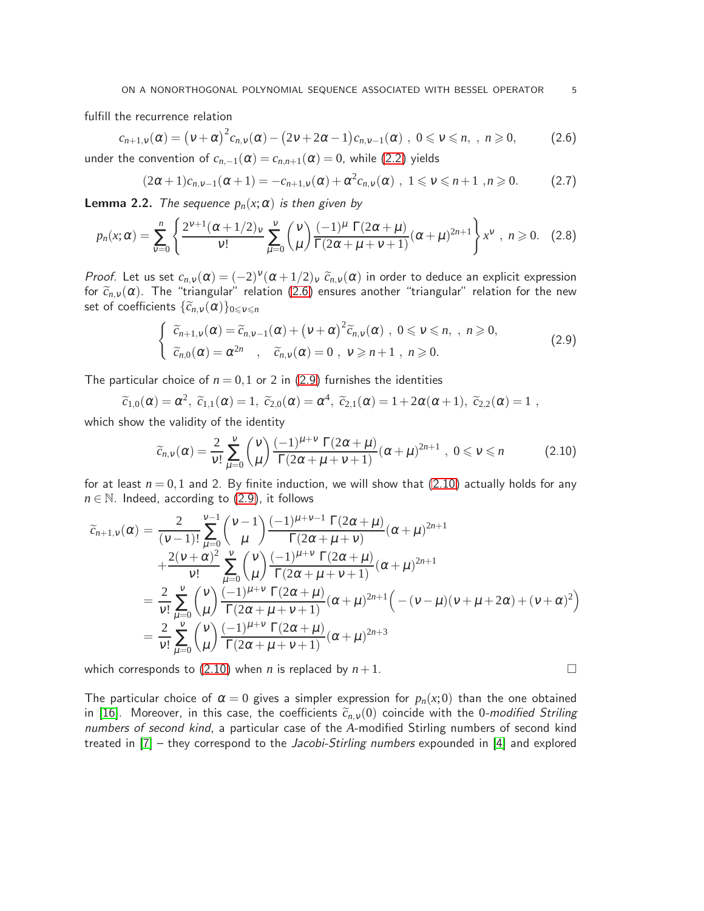fulfill the recurrence relation

<span id="page-4-0"></span>
$$
c_{n+1,\nu}(\alpha) = (\nu + \alpha)^2 c_{n,\nu}(\alpha) - (2\nu + 2\alpha - 1)c_{n,\nu-1}(\alpha), \quad 0 \leq \nu \leq n, \quad n \geq 0,
$$
 (2.6)

under the convention of  $c_{n,-1}(\alpha) = c_{n,n+1}(\alpha) = 0$ , while [\(2.2\)](#page-2-2) yields

$$
(2\alpha+1)c_{n,v-1}(\alpha+1) = -c_{n+1,v}(\alpha) + \alpha^2 c_{n,v}(\alpha) , 1 \le v \le n+1 , n \ge 0.
$$
 (2.7)

**Lemma 2.2.** The sequence  $p_n(x; \alpha)$  is then given by

$$
p_n(x; \alpha) = \sum_{v=0}^n \left\{ \frac{2^{v+1} (\alpha + 1/2)_v}{v!} \sum_{\mu=0}^v \binom{v}{\mu} \frac{(-1)^{\mu} \Gamma(2\alpha + \mu)}{\Gamma(2\alpha + \mu + v + 1)} (\alpha + \mu)^{2n+1} \right\} x^v, \quad n \geq 0. \quad (2.8)
$$

Proof. Let us set  $c_{n,v}(\alpha) = (-2)^v (\alpha + 1/2)_v \widetilde{c}_{n,v}(\alpha)$  in order to deduce an explicit expression for  $\tilde{c}_{n,v}(\alpha)$ . The "triangular" relation [\(2.6\)](#page-4-0) ensures another "triangular" relation for the new set of coefficients  $\{\widetilde{c}_{n,v}(\alpha)\}_{0\leq v\leq n}$ 

<span id="page-4-1"></span>
$$
\begin{cases}\n\widetilde{c}_{n+1,\nu}(\alpha) = \widetilde{c}_{n,\nu-1}(\alpha) + (\nu + \alpha)^2 \widetilde{c}_{n,\nu}(\alpha) , 0 \leq \nu \leq n, , n \geq 0, \\
\widetilde{c}_{n,0}(\alpha) = \alpha^{2n} , \widetilde{c}_{n,\nu}(\alpha) = 0 , \nu \geq n+1 , n \geq 0.\n\end{cases}
$$
\n(2.9)

The particular choice of  $n = 0,1$  or 2 in [\(2.9\)](#page-4-1) furnishes the identities

$$
\widetilde{c}_{1,0}(\alpha)=\alpha^2,\; \widetilde{c}_{1,1}(\alpha)=1,\; \widetilde{c}_{2,0}(\alpha)=\alpha^4,\; \widetilde{c}_{2,1}(\alpha)=1+2\alpha(\alpha+1),\; \widetilde{c}_{2,2}(\alpha)=1\;,
$$

which show the validity of the identity

$$
\widetilde{c}_{n,v}(\alpha) = \frac{2}{v!} \sum_{\mu=0}^{v} {v \choose \mu} \frac{(-1)^{\mu+v} \Gamma(2\alpha+\mu)}{\Gamma(2\alpha+\mu+v+1)} (\alpha+\mu)^{2n+1}, \ 0 \le v \le n \qquad (2.10)
$$

for at least  $n = 0,1$  and 2. By finite induction, we will show that  $(2.10)$  actually holds for any  $n \in \mathbb{N}$ . Indeed, according to  $(2.9)$ , it follows

$$
\widetilde{c}_{n+1,v}(\alpha) = \frac{2}{(v-1)!} \sum_{\mu=0}^{v-1} {v-1 \choose \mu} \frac{(-1)^{\mu+v-1} \Gamma(2\alpha + \mu)}{\Gamma(2\alpha + \mu + v)} (\alpha + \mu)^{2n+1} \n+ \frac{2(v+\alpha)^2}{v!} \sum_{\mu=0}^{v} {v \choose \mu} \frac{(-1)^{\mu+v} \Gamma(2\alpha + \mu)}{\Gamma(2\alpha + \mu + v + 1)} (\alpha + \mu)^{2n+1} \n= \frac{2}{v!} \sum_{\mu=0}^{v} {v \choose \mu} \frac{(-1)^{\mu+v} \Gamma(2\alpha + \mu)}{\Gamma(2\alpha + \mu + v + 1)} (\alpha + \mu)^{2n+1} \Big( - (v-\mu)(v + \mu + 2\alpha) + (v + \alpha)^2 \Big) \n= \frac{2}{v!} \sum_{\mu=0}^{v} {v \choose \mu} \frac{(-1)^{\mu+v} \Gamma(2\alpha + \mu)}{\Gamma(2\alpha + \mu + v + 1)} (\alpha + \mu)^{2n+3}
$$

which corresponds to  $(2.10)$  when *n* is replaced by  $n+1$ .

The particular choice of  $\alpha = 0$  gives a simpler expression for  $p_n(x,0)$  than the one obtained in [\[16\]](#page-15-2). Moreover, in this case, the coefficients  $\tilde{c}_{n,v}(0)$  coincide with the 0-modified Striling numbers of second kind, a particular case of the *A*-modified Stirling numbers of second kind treated in  $[7]$  – they correspond to the *Jacobi-Stirling numbers* expounded in  $[4]$  and explored

<span id="page-4-2"></span>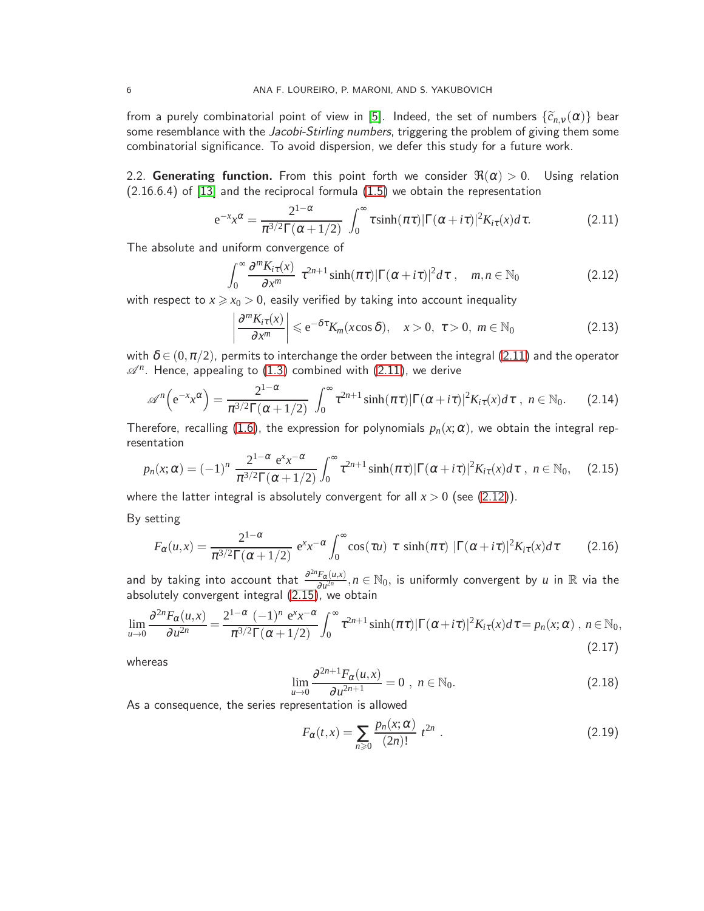from a purely combinatorial point of view in [\[5\]](#page-15-6). Indeed, the set of numbers  $\{\widetilde{c}_{n,v}(\alpha)\}$  bear some resemblance with the Jacobi-Stirling numbers, triggering the problem of giving them some combinatorial significance. To avoid dispersion, we defer this study for a future work.

<span id="page-5-0"></span>2.2. Generating function. From this point forth we consider  $\Re(\alpha) > 0$ . Using relation  $(2.16.6.4)$  of  $[13]$  and the reciprocal formula  $(1.5)$  we obtain the representation

<span id="page-5-1"></span>
$$
e^{-x}x^{\alpha} = \frac{2^{1-\alpha}}{\pi^{3/2}\Gamma(\alpha+1/2)} \int_0^{\infty} \tau \sinh(\pi \tau) |\Gamma(\alpha+i\tau)|^2 K_{i\tau}(x) d\tau.
$$
 (2.11)

The absolute and uniform convergence of

<span id="page-5-2"></span>
$$
\int_0^\infty \frac{\partial^m K_{i\tau}(x)}{\partial x^m} \ \tau^{2n+1} \sinh(\pi \tau) |\Gamma(\alpha + i\tau)|^2 d\tau \ , \quad m, n \in \mathbb{N}_0 \tag{2.12}
$$

with respect to  $x \ge x_0 > 0$ , easily verified by taking into account inequality

<span id="page-5-5"></span>
$$
\left|\frac{\partial^m K_{i\tau}(x)}{\partial x^m}\right| \leq e^{-\delta \tau} K_m(x \cos \delta), \quad x > 0, \ \tau > 0, \ m \in \mathbb{N}_0
$$
\n(2.13)

with  $\delta \in (0, \pi/2)$ , permits to interchange the order between the integral [\(2.11\)](#page-5-1) and the operator  $\mathscr{A}^n$ . Hence, appealing to  $(1.3)$  combined with  $(2.11)$ , we derive

$$
\mathscr{A}^n\Big(\mathrm{e}^{-x}\mathrm{x}^{\alpha}\Big)=\frac{2^{1-\alpha}}{\pi^{3/2}\Gamma(\alpha+1/2)}\int_0^\infty\tau^{2n+1}\sinh(\pi\tau)|\Gamma(\alpha+i\tau)|^2K_{i\tau}(x)d\tau\ ,\ n\in\mathbb{N}_0.\qquad(2.14)
$$

Therefore, recalling [\(1.6\)](#page-1-0), the expression for polynomials  $p_n(x;\alpha)$ , we obtain the integral representation

<span id="page-5-3"></span>
$$
p_n(x;\alpha) = (-1)^n \frac{2^{1-\alpha} e^x x^{-\alpha}}{\pi^{3/2} \Gamma(\alpha+1/2)} \int_0^\infty \tau^{2n+1} \sinh(\pi \tau) |\Gamma(\alpha+i\tau)|^2 K_{i\tau}(x) d\tau \; , \; n \in \mathbb{N}_0, \quad (2.15)
$$

where the latter integral is absolutely convergent for all  $x > 0$  (see [\(2.12\)](#page-5-2)).

By setting

<span id="page-5-7"></span>
$$
F_{\alpha}(u,x) = \frac{2^{1-\alpha}}{\pi^{3/2}\Gamma(\alpha+1/2)} e^{x} x^{-\alpha} \int_0^{\infty} \cos(\tau u) \ \tau \ \sinh(\pi \tau) \ |\Gamma(\alpha+i\tau)|^2 K_{i\tau}(x) d\tau \qquad (2.16)
$$

and by taking into account that  $\frac{\partial^{2n} F_{\alpha}(u,x)}{\partial u^{2n}}$  $\frac{F_{\alpha}(u, x)}{\partial u^{2n}}, n \in \mathbb{N}_0$ , is uniformly convergent by  $u$  in  $\mathbb R$  via the absolutely convergent integral [\(2.15\)](#page-5-3), we obtain

<span id="page-5-6"></span>
$$
\lim_{u\to 0} \frac{\partial^{2n} F_{\alpha}(u,x)}{\partial u^{2n}} = \frac{2^{1-\alpha} (-1)^n e^x x^{-\alpha}}{\pi^{3/2} \Gamma(\alpha+1/2)} \int_0^\infty \tau^{2n+1} \sinh(\pi\tau) |\Gamma(\alpha+ i\tau)|^2 K_{i\tau}(x) d\tau = p_n(x;\alpha), \quad n \in \mathbb{N}_0,
$$
\n(2.17)

whereas

$$
\lim_{u \to 0} \frac{\partial^{2n+1} F_{\alpha}(u, x)}{\partial u^{2n+1}} = 0 , n \in \mathbb{N}_0.
$$
\n(2.18)

As a consequence, the series representation is allowed

<span id="page-5-4"></span>
$$
F_{\alpha}(t,x) = \sum_{n\geq 0} \frac{p_n(x;\alpha)}{(2n)!} \ t^{2n} \ . \tag{2.19}
$$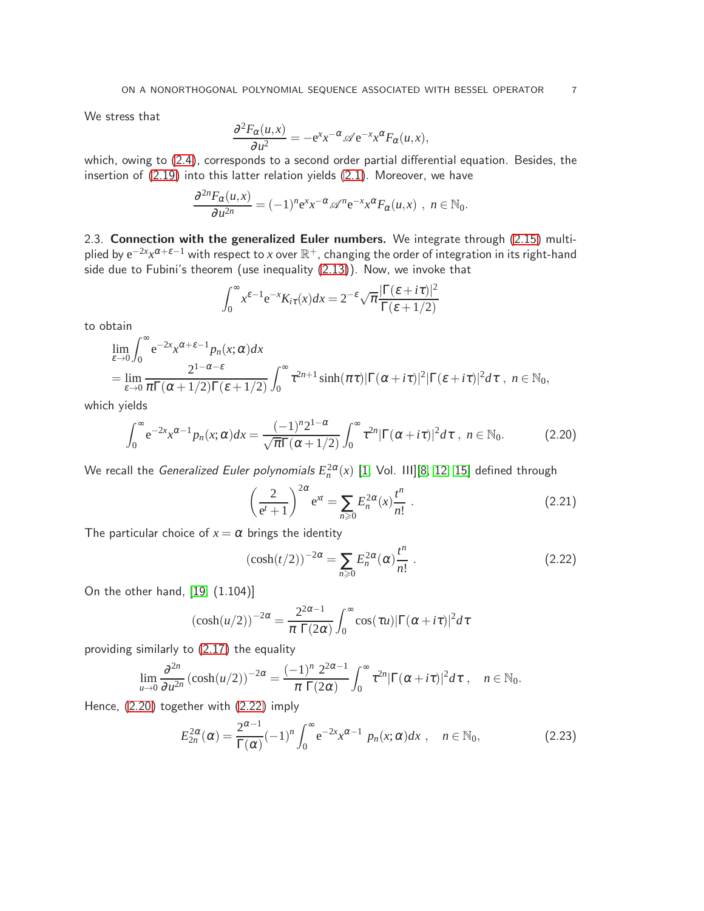We stress that

$$
\frac{\partial^2 F_{\alpha}(u,x)}{\partial u^2} = -e^x x^{-\alpha} \mathscr{A} e^{-x} x^{\alpha} F_{\alpha}(u,x),
$$

which, owing to [\(2.4\)](#page-3-2), corresponds to a second order partial differential equation. Besides, the insertion of [\(2.19\)](#page-5-4) into this latter relation yields [\(2.1\)](#page-2-1). Moreover, we have

$$
\frac{\partial^{2n} F_{\alpha}(u,x)}{\partial u^{2n}} = (-1)^n e^x x^{-\alpha} \mathscr{A}^n e^{-x} x^{\alpha} F_{\alpha}(u,x) , n \in \mathbb{N}_0.
$$

<span id="page-6-0"></span>2.3. Connection with the generalized Euler numbers. We integrate through [\(2.15\)](#page-5-3) multiplied by  $e^{-2x}x^{\alpha+\varepsilon-1}$  with respect to *x* over  $\mathbb{R}^+$ , changing the order of integration in its right-hand side due to Fubini's theorem (use inequality [\(2.13\)](#page-5-5)). Now, we invoke that

$$
\int_0^\infty x^{\varepsilon-1} e^{-x} K_{i\tau}(x) dx = 2^{-\varepsilon} \sqrt{\pi} \frac{|\Gamma(\varepsilon + i\tau)|^2}{\Gamma(\varepsilon + 1/2)}
$$

to obtain

$$
\lim_{\varepsilon \to 0} \int_0^\infty e^{-2x} x^{\alpha + \varepsilon - 1} p_n(x; \alpha) dx
$$
  
= 
$$
\lim_{\varepsilon \to 0} \frac{2^{1 - \alpha - \varepsilon}}{\pi \Gamma(\alpha + 1/2) \Gamma(\varepsilon + 1/2)} \int_0^\infty t^{2n+1} \sinh(\pi t) |\Gamma(\alpha + i\tau)|^2 |\Gamma(\varepsilon + i\tau)|^2 d\tau
$$
,  $n \in \mathbb{N}_0$ ,

which yields

<span id="page-6-1"></span>
$$
\int_0^\infty e^{-2x} x^{\alpha-1} p_n(x;\alpha) dx = \frac{(-1)^n 2^{1-\alpha}}{\sqrt{\pi} \Gamma(\alpha+1/2)} \int_0^\infty t^{2n} |\Gamma(\alpha+i\tau)|^2 d\tau , n \in \mathbb{N}_0.
$$
 (2.20)

We recall the *Generalized Euler polynomials*  $E_n^{2\alpha}(x)$  *[\[1,](#page-14-0) Vol. III][\[8,](#page-15-8) [12,](#page-15-9) [15\]](#page-15-10) defined through* 

<span id="page-6-3"></span>
$$
\left(\frac{2}{e^t+1}\right)^{2\alpha} e^{xt} = \sum_{n\geq 0} E_n^{2\alpha}(x) \frac{t^n}{n!} .
$$
 (2.21)

The particular choice of  $x = \alpha$  brings the identity

<span id="page-6-2"></span>
$$
(\cosh(t/2))^{-2\alpha} = \sum_{n\geqslant 0} E_n^{2\alpha}(\alpha) \frac{t^n}{n!} \ . \tag{2.22}
$$

On the other hand, [\[19,](#page-15-0) (1.104)]

$$
(\cosh(u/2))^{-2\alpha} = \frac{2^{2\alpha-1}}{\pi \Gamma(2\alpha)} \int_0^\infty \cos(\tau u) |\Gamma(\alpha + i\tau)|^2 d\tau
$$

providing similarly to [\(2.17\)](#page-5-6) the equality

$$
\lim_{u\to 0}\frac{\partial^{2n}}{\partial u^{2n}}(\cosh(u/2))^{-2\alpha}=\frac{(-1)^n 2^{2\alpha-1}}{\pi \Gamma(2\alpha)}\int_0^\infty \tau^{2n}|\Gamma(\alpha+i\tau)|^2d\tau\ ,\quad n\in\mathbb{N}_0.
$$

Hence, [\(2.20\)](#page-6-1) together with [\(2.22\)](#page-6-2) imply

<span id="page-6-4"></span>
$$
E_{2n}^{2\alpha}(\alpha) = \frac{2^{\alpha-1}}{\Gamma(\alpha)} (-1)^n \int_0^\infty e^{-2x} x^{\alpha-1} p_n(x;\alpha) dx , \quad n \in \mathbb{N}_0,
$$
 (2.23)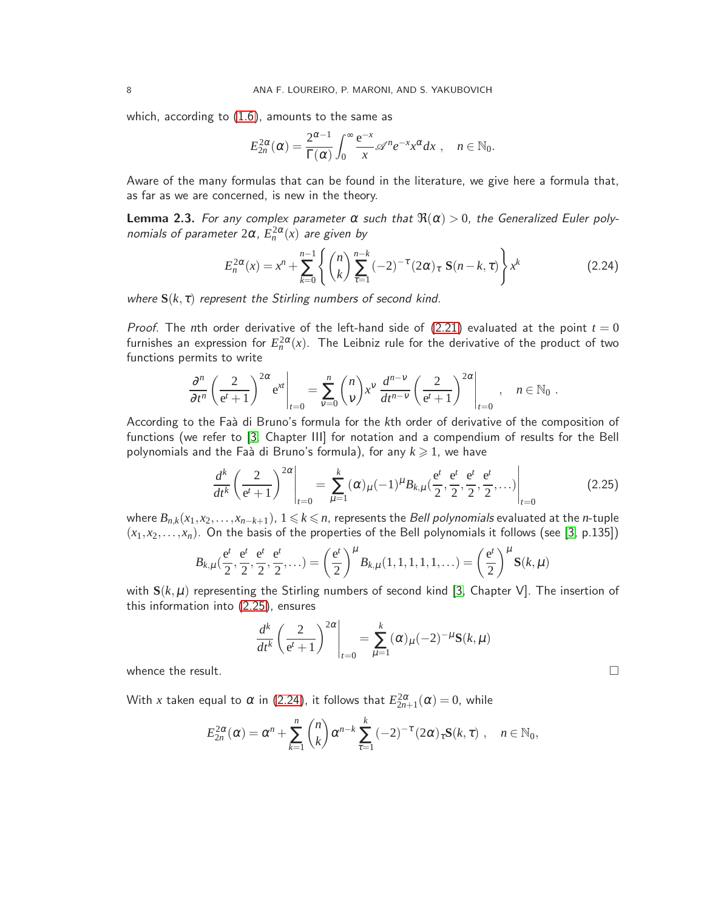which, according to  $(1.6)$ , amounts to the same as

$$
E_{2n}^{2\alpha}(\alpha) = \frac{2^{\alpha-1}}{\Gamma(\alpha)} \int_0^\infty \frac{e^{-x}}{x} \mathscr{A}^n e^{-x} x^\alpha dx , \quad n \in \mathbb{N}_0.
$$

Aware of the many formulas that can be found in the literature, we give here a formula that, as far as we are concerned, is new in the theory.

**Lemma 2.3.** For any complex parameter  $\alpha$  such that  $\Re(\alpha) > 0$ , the Generalized Euler polynomials of parameter  $2\alpha$ ,  $E_n^{2\alpha}(x)$  are given by

<span id="page-7-1"></span>
$$
E_n^{2\alpha}(x) = x^n + \sum_{k=0}^{n-1} \left\{ \binom{n}{k} \sum_{\tau=1}^{n-k} (-2)^{-\tau} (2\alpha)_{\tau} \mathbf{S}(n-k,\tau) \right\} x^k \tag{2.24}
$$

where  $S(k, \tau)$  represent the Stirling numbers of second kind.

Proof. The *n*th order derivative of the left-hand side of  $(2.21)$  evaluated at the point  $t = 0$ furnishes an expression for  $E_n^{2\alpha}(x)$ . The Leibniz rule for the derivative of the product of two functions permits to write

$$
\frac{\partial^n}{\partial t^n} \left( \frac{2}{e^t + 1} \right)^{2\alpha} e^{xt} \Big|_{t=0} = \sum_{v=0}^n \binom{n}{v} x^v \frac{d^{n-v}}{dt^{n-v}} \left( \frac{2}{e^t + 1} \right)^{2\alpha} \Big|_{t=0} , \quad n \in \mathbb{N}_0 .
$$

According to the Faà di Bruno's formula for the *k*th order of derivative of the composition of functions (we refer to [\[3,](#page-14-1) Chapter III] for notation and a compendium of results for the Bell polynomials and the Faà di Bruno's formula), for any  $k \geq 1$ , we have

<span id="page-7-0"></span>
$$
\frac{d^k}{dt^k} \left(\frac{2}{e^t+1}\right)^{2\alpha} \bigg|_{t=0} = \sum_{\mu=1}^k (\alpha)_{\mu} (-1)^{\mu} B_{k,\mu}(\frac{e^t}{2}, \frac{e^t}{2}, \frac{e^t}{2}, \frac{e^t}{2}, \dots) \bigg|_{t=0}
$$
(2.25)

where  $B_{n,k}(x_1,x_2,\ldots,x_{n-k+1})$ ,  $1 \leq k \leq n$ , represents the *Bell polynomials* evaluated at the *n*-tuple  $(x_1, x_2,...,x_n)$ . On the basis of the properties of the Bell polynomials it follows (see [\[3,](#page-14-1) p.135])

$$
B_{k,\mu}(\frac{e^t}{2}, \frac{e^t}{2}, \frac{e^t}{2}, \frac{e^t}{2}, \dots) = \left(\frac{e^t}{2}\right)^{\mu} B_{k,\mu}(1,1,1,1,1,\dots) = \left(\frac{e^t}{2}\right)^{\mu} S(k,\mu)
$$

with  $S(k,\mu)$  representing the Stirling numbers of second kind [\[3,](#page-14-1) Chapter V]. The insertion of this information into [\(2.25\)](#page-7-0), ensures

$$
\frac{d^k}{dt^k} \left(\frac{2}{e^t+1}\right)^{2\alpha} \bigg|_{t=0} = \sum_{\mu=1}^k (\alpha)_{\mu} (-2)^{-\mu} \mathbf{S}(k,\mu)
$$

whence the result.  $\qquad \qquad \Box$ 

With  $x$  taken equal to  $\alpha$  in [\(2.24\)](#page-7-1), it follows that  $E_{2n+1}^{2\alpha}(\alpha)=0$ , while

$$
E_{2n}^{2\alpha}(\alpha) = \alpha^n + \sum_{k=1}^n {n \choose k} \alpha^{n-k} \sum_{\tau=1}^k (-2)^{-\tau} (2\alpha)_{\tau} \mathbf{S}(k, \tau) , \quad n \in \mathbb{N}_0,
$$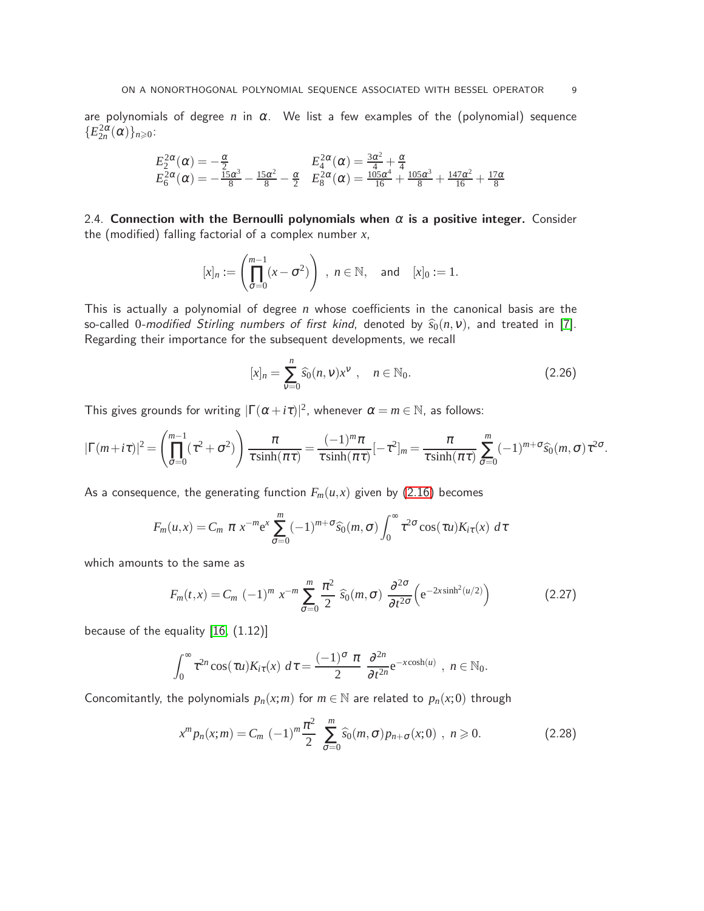are polynomials of degree  $n$  in  $\alpha$ . We list a few examples of the (polynomial) sequence  ${E_{2n}^{2\alpha}(\alpha)}_{n\geqslant0}$ :

$$
\begin{array}{lll} E^{2\alpha}_2(\alpha)=-\frac{\alpha}{2} & E^{2\alpha}_4(\alpha)=\frac{3\alpha^2}{4}+\frac{\alpha}{4} \\ E^{2\alpha}_6(\alpha)=-\frac{15\alpha^3}{8}-\frac{15\alpha^2}{8}-\frac{\alpha}{2} & E^{2\alpha}_8(\alpha)=\frac{105\alpha^4}{16}+\frac{105\alpha^3}{8}+\frac{147\alpha^2}{16}+\frac{17\alpha}{8} \end{array}
$$

2.4. Connection with the Bernoulli polynomials when  $\alpha$  is a positive integer. Consider the (modified) falling factorial of a complex number *x*,

$$
[x]_n:=\left(\prod_{\sigma=0}^{m-1}(x-\sigma^2)\right),\ n\in\mathbb{N},\ \text{and}\ \ [x]_0:=1.
$$

This is actually a polynomial of degree *n* whose coefficients in the canonical basis are the so-called 0-modified Stirling numbers of first kind, denoted by  $\hat{s}_0(n, v)$ , and treated in [\[7\]](#page-15-4). Regarding their importance for the subsequent developments, we recall

$$
[x]_n = \sum_{\nu=0}^n \widehat{s}_0(n,\nu) x^{\nu} , \quad n \in \mathbb{N}_0.
$$
 (2.26)

This gives grounds for writing  $|\Gamma(\alpha+i\tau)|^2$ , whenever  $\alpha=m\in\mathbb{N}$ , as follows:

$$
|\Gamma(m+i\tau)|^2 = \left(\prod_{\sigma=0}^{m-1}(\tau^2+\sigma^2)\right)\frac{\pi}{\tau\sinh(\pi\tau)} = \frac{(-1)^m\pi}{\tau\sinh(\pi\tau)}[-\tau^2]_m = \frac{\pi}{\tau\sinh(\pi\tau)}\sum_{\sigma=0}^m(-1)^{m+\sigma}\widehat{s}_0(m,\sigma)\tau^{2\sigma}.
$$

As a consequence, the generating function  $F_m(u, x)$  given by [\(2.16\)](#page-5-7) becomes

$$
F_m(u,x) = C_m \pi x^{-m} e^x \sum_{\sigma=0}^m (-1)^{m+\sigma} \widehat{s}_0(m,\sigma) \int_0^\infty \tau^{2\sigma} \cos(\tau u) K_{i\tau}(x) d\tau
$$

which amounts to the same as

$$
F_m(t,x) = C_m \left(-1\right)^m x^{-m} \sum_{\sigma=0}^m \frac{\pi^2}{2} \widehat{s}_0(m,\sigma) \frac{\partial^{2\sigma}}{\partial t^{2\sigma}} \left(e^{-2x\sinh^2(u/2)}\right)
$$
(2.27)

because of the equality  $[16, (1.12)]$ 

$$
\int_0^\infty \tau^{2n} \cos(\tau u) K_{i\tau}(x) \ d\tau = \frac{(-1)^\sigma \pi}{2} \frac{\partial^{2n}}{\partial t^{2n}} e^{-x \cosh(u)}, \ n \in \mathbb{N}_0.
$$

Concomitantly, the polynomials  $p_n(x; m)$  for  $m \in \mathbb{N}$  are related to  $p_n(x; 0)$  through

<span id="page-8-0"></span>
$$
x^m p_n(x; m) = C_m (-1)^m \frac{\pi^2}{2} \sum_{\sigma=0}^m \widehat{s}_0(m, \sigma) p_{n+\sigma}(x; 0) , n \ge 0.
$$
 (2.28)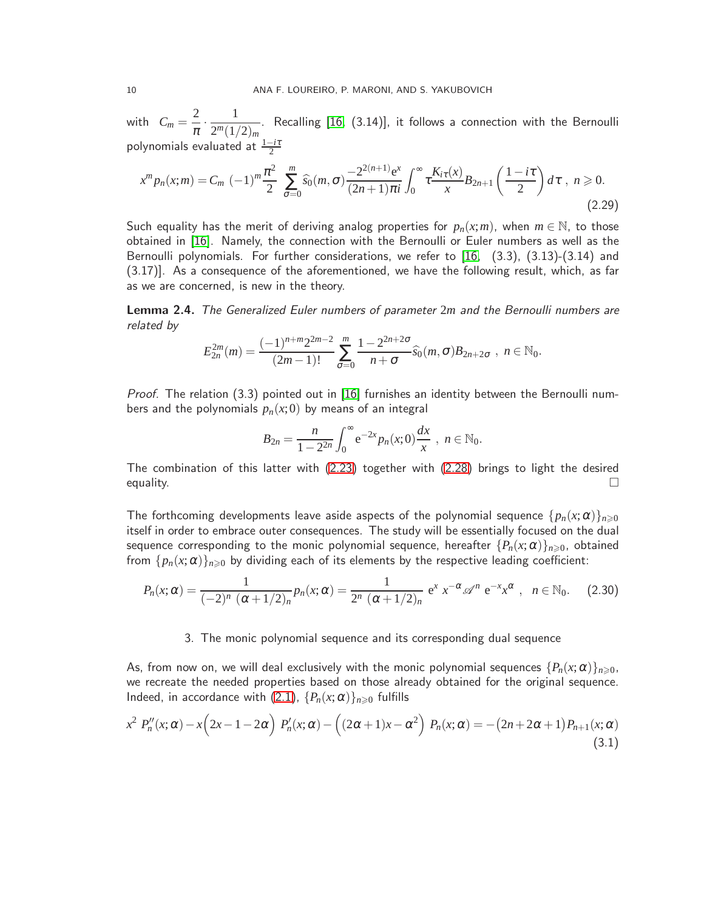with  $C_m = \frac{2}{2}$  $\overline{\pi}$  . 1  $\frac{1}{2^m(1/2)_m}$ . Recalling [\[16,](#page-15-2) (3.14)], it follows a connection with the Bernoulli polynomials evaluated at <sup>1</sup>−*i*<sup>τ</sup> 2

$$
x^m p_n(x; m) = C_m (-1)^m \frac{\pi^2}{2} \sum_{\sigma=0}^m \widehat{s_0}(m, \sigma) \frac{-2^{2(n+1)} e^x}{(2n+1)\pi i} \int_0^\infty \tau \frac{K_{i\tau}(x)}{x} B_{2n+1} \left(\frac{1-i\tau}{2}\right) d\tau, \quad n \ge 0.
$$
\n(2.29)

Such equality has the merit of deriving analog properties for  $p_n(x; m)$ , when  $m \in \mathbb{N}$ , to those obtained in [\[16\]](#page-15-2). Namely, the connection with the Bernoulli or Euler numbers as well as the Bernoulli polynomials. For further considerations, we refer to [\[16,](#page-15-2) (3.3), (3.13)-(3.14) and (3.17)]. As a consequence of the aforementioned, we have the following result, which, as far as we are concerned, is new in the theory.

Lemma 2.4. The Generalized Euler numbers of parameter 2*m* and the Bernoulli numbers are related by

$$
E_{2n}^{2m}(m)=\frac{(-1)^{n+m}2^{2m-2}}{(2m-1)!}\sum_{\sigma=0}^m\frac{1-2^{2n+2\sigma}}{n+\sigma}\widehat{s}_0(m,\sigma)B_{2n+2\sigma}, n \in \mathbb{N}_0.
$$

Proof. The relation (3.3) pointed out in [\[16\]](#page-15-2) furnishes an identity between the Bernoulli numbers and the polynomials  $p_n(x;0)$  by means of an integral

$$
B_{2n} = \frac{n}{1 - 2^{2n}} \int_0^\infty e^{-2x} p_n(x; 0) \frac{dx}{x}, \quad n \in \mathbb{N}_0.
$$

The combination of this latter with [\(2.23\)](#page-6-4) together with [\(2.28\)](#page-8-0) brings to light the desired equality.  $\Box$ 

The forthcoming developments leave aside aspects of the polynomial sequence  $\{p_n(x; \alpha)\}_{n \geq 0}$ itself in order to embrace outer consequences. The study will be essentially focused on the dual sequence corresponding to the monic polynomial sequence, hereafter  $\{P_n(x;\alpha)\}_{n\geqslant 0}$ , obtained from  $\{p_n(x; \alpha)\}_{n \geq 0}$  by dividing each of its elements by the respective leading coefficient:

<span id="page-9-2"></span><span id="page-9-0"></span>
$$
P_n(x; \alpha) = \frac{1}{(-2)^n (\alpha + 1/2)_n} p_n(x; \alpha) = \frac{1}{2^n (\alpha + 1/2)_n} e^x x^{-\alpha} \mathcal{A}^n e^{-x} x^{\alpha}, \quad n \in \mathbb{N}_0.
$$
 (2.30)

## 3. The monic polynomial sequence and its corresponding dual sequence

As, from now on, we will deal exclusively with the monic polynomial sequences  $\{P_n(x;\alpha)\}_{n\geq 0}$ , we recreate the needed properties based on those already obtained for the original sequence. Indeed, in accordance with [\(2.1\)](#page-2-1),  $\{P_n(x;\alpha)\}_{n\geq 0}$  fulfills

<span id="page-9-1"></span>
$$
x^2 P_n''(x;\alpha) - x\left(2x - 1 - 2\alpha\right) P_n'(x;\alpha) - \left((2\alpha + 1)x - \alpha^2\right) P_n(x;\alpha) = -(2n + 2\alpha + 1)P_{n+1}(x;\alpha)
$$
\n(3.1)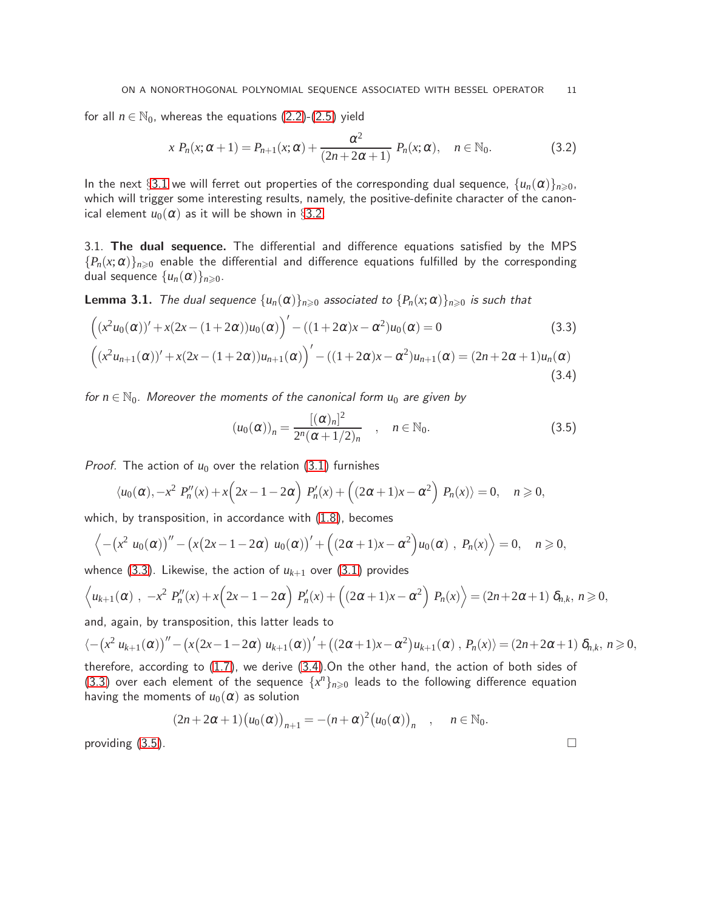for all  $n \in \mathbb{N}_0$ , whereas the equations  $(2.2)$ - $(2.5)$  yield

<span id="page-10-4"></span>
$$
x P_n(x; \alpha + 1) = P_{n+1}(x; \alpha) + \frac{\alpha^2}{(2n + 2\alpha + 1)} P_n(x; \alpha), \quad n \in \mathbb{N}_0.
$$
 (3.2)

In the next §[3.1](#page-10-0) we will ferret out properties of the corresponding dual sequence,  $\{u_n(\alpha)\}_{n\geq 0}$ , which will trigger some interesting results, namely, the positive-definite character of the canonical element  $u_0(\alpha)$  as it will be shown in §[3.2.](#page-12-0)

<span id="page-10-0"></span>3.1. The dual sequence. The differential and difference equations satisfied by the MPS  ${P_n(x;\alpha)}_{n\geq0}$  enable the differential and difference equations fulfilled by the corresponding dual sequence  $\{u_n(\alpha)\}_{n\geqslant 0}$ .

**Lemma 3.1.** The dual sequence  $\{u_n(\alpha)\}_{n\geq 0}$  associated to  $\{P_n(x;\alpha)\}_{n\geq 0}$  is such that

$$
((x^{2}u_{0}(\alpha))' + x(2x - (1 + 2\alpha))u_{0}(\alpha))' - ((1 + 2\alpha)x - \alpha^{2})u_{0}(\alpha) = 0
$$
\n(3.3)

$$
((x^{2}u_{n+1}(\alpha))' + x(2x - (1+2\alpha))u_{n+1}(\alpha))' - ((1+2\alpha)x - \alpha^{2})u_{n+1}(\alpha) = (2n + 2\alpha + 1)u_{n}(\alpha)
$$
\n(3.4)

for  $n \in \mathbb{N}_0$ . Moreover the moments of the canonical form  $u_0$  are given by

<span id="page-10-3"></span><span id="page-10-2"></span><span id="page-10-1"></span>
$$
(u_0(\alpha))_n = \frac{[(\alpha)_n]^2}{2^n(\alpha+1/2)_n} \quad , \quad n \in \mathbb{N}_0.
$$
 (3.5)

*Proof.* The action of  $u_0$  over the relation [\(3.1\)](#page-9-1) furnishes

$$
\langle u_0(\alpha), -x^2 P_n''(x) + x \Big( 2x - 1 - 2\alpha \Big) P_n'(x) + \Big( (2\alpha + 1)x - \alpha^2 \Big) P_n(x) \rangle = 0, \quad n \geq 0,
$$

which, by transposition, in accordance with [\(1.8\)](#page-2-3), becomes

$$
\left\langle -\left(x^2\ u_0(\alpha)\right)'' - \left(x(2x-1-2\alpha)\ u_0(\alpha)\right)' + \left((2\alpha+1)x-\alpha^2\right)u_0(\alpha)\ ,\ P_n(x)\right\rangle = 0,\quad n \geqslant 0,
$$

whence [\(3.3\)](#page-10-1). Likewise, the action of  $u_{k+1}$  over [\(3.1\)](#page-9-1) provides

$$
\left\langle u_{k+1}(\alpha) , -x^2 P_n''(x) + x \left(2x - 1 - 2\alpha\right) P_n'(x) + \left((2\alpha + 1)x - \alpha^2\right) P_n(x)\right\rangle = (2n + 2\alpha + 1) \delta_{n,k}, n \ge 0,
$$

and, again, by transposition, this latter leads to

$$
\langle -\left(x^2 u_{k+1}(\alpha)\right)'' - \left(x(2x-1-2\alpha) u_{k+1}(\alpha)\right)' + \left((2\alpha+1)x-\alpha^2\right)u_{k+1}(\alpha), P_n(x)\rangle = (2n+2\alpha+1)\delta_{n,k}, n \ge 0,
$$

therefore, according to [\(1.7\)](#page-2-4), we derive [\(3.4\)](#page-10-2).On the other hand, the action of both sides of [\(3.3\)](#page-10-1) over each element of the sequence  $\{x^n\}_{n\geqslant 0}$  leads to the following difference equation having the moments of  $u_0(\alpha)$  as solution

$$
(2n+2\alpha+1)(u_0(\alpha))_{n+1} = -(n+\alpha)^2 (u_0(\alpha))_n , \quad n \in \mathbb{N}_0.
$$

providing  $(3.5)$ .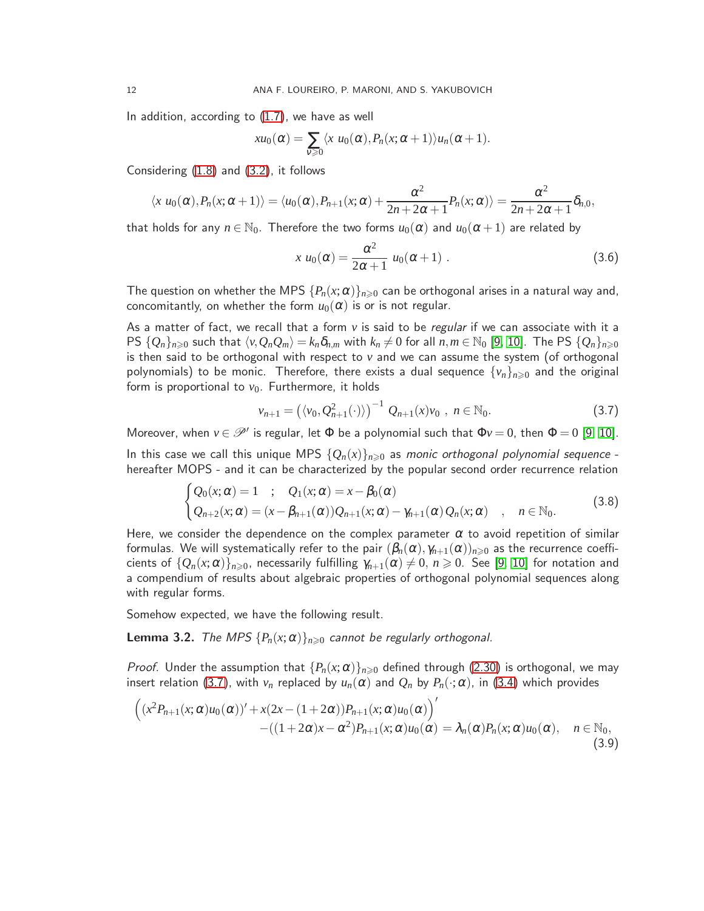In addition, according to [\(1.7\)](#page-2-4), we have as well

$$
xu_0(\alpha)=\sum_{v\geqslant 0}\langle x\ u_0(\alpha),P_n(x;\alpha+1)\rangle u_n(\alpha+1).
$$

Considering [\(1.8\)](#page-2-3) and [\(3.2\)](#page-10-4), it follows

$$
\langle x u_0(\alpha), P_n(x; \alpha + 1) \rangle = \langle u_0(\alpha), P_{n+1}(x; \alpha) + \frac{\alpha^2}{2n + 2\alpha + 1} P_n(x; \alpha) \rangle = \frac{\alpha^2}{2n + 2\alpha + 1} \delta_{n,0},
$$

that holds for any  $n \in \mathbb{N}_0$ . Therefore the two forms  $u_0(\alpha)$  and  $u_0(\alpha+1)$  are related by

<span id="page-11-0"></span>
$$
x u_0(\alpha) = \frac{\alpha^2}{2\alpha + 1} u_0(\alpha + 1) \tag{3.6}
$$

The question on whether the MPS  $\{P_n(x;\alpha)\}_{n\geqslant 0}$  can be orthogonal arises in a natural way and, concomitantly, on whether the form  $u_0(\alpha)$  is or is not regular.

As a matter of fact, we recall that a form *v* is said to be regular if we can associate with it a PS  $\{Q_n\}_{n\geqslant 0}$  such that  $\langle v,Q_nQ_m\rangle=k_n\delta_{n,m}$  with  $k_n\neq 0$  for all  $n,m\in\mathbb{N}_0$  [\[9,](#page-15-3) [10\]](#page-15-11). The PS  $\{Q_n\}_{n\geqslant 0}$ is then said to be orthogonal with respect to *v* and we can assume the system (of orthogonal polynomials) to be monic. Therefore, there exists a dual sequence  $\{v_n\}_{n\geq 0}$  and the original form is proportional to  $v_0$ . Furthermore, it holds

<span id="page-11-3"></span><span id="page-11-1"></span>
$$
v_{n+1} = (\langle v_0, Q_{n+1}^2(\cdot) \rangle)^{-1} Q_{n+1}(x) v_0 , n \in \mathbb{N}_0.
$$
 (3.7)

Moreover, when  $v \in \mathscr{P}'$  is regular, let  $\Phi$  be a polynomial such that  $\Phi v = 0$ , then  $\Phi = 0$  [\[9,](#page-15-3) [10\]](#page-15-11). In this case we call this unique MPS  $\{Q_n(x)\}_{n\geq 0}$  as monic orthogonal polynomial sequence hereafter MOPS - and it can be characterized by the popular second order recurrence relation

$$
\begin{cases}\nQ_0(x;\alpha) = 1 & ; \quad Q_1(x;\alpha) = x - \beta_0(\alpha) \\
Q_{n+2}(x;\alpha) = (x - \beta_{n+1}(\alpha))Q_{n+1}(x;\alpha) - \gamma_{n+1}(\alpha)Q_n(x;\alpha) & , \quad n \in \mathbb{N}_0.\n\end{cases}
$$
\n(3.8)

Here, we consider the dependence on the complex parameter  $\alpha$  to avoid repetition of similar formulas. We will systematically refer to the pair  $(\beta_n(\alpha), \gamma_{n+1}(\alpha))_{n\geqslant0}$  as the recurrence coefficients of  $\{Q_n(x;\alpha)\}_{n\geq 0}$ , necessarily fulfilling  $\gamma_{n+1}(\alpha)\neq 0$ ,  $n\geq 0$ . See [\[9,](#page-15-3) [10\]](#page-15-11) for notation and a compendium of results about algebraic properties of orthogonal polynomial sequences along with regular forms.

Somehow expected, we have the following result.

**Lemma 3.2.** The MPS  $\{P_n(x; \alpha)\}_{n \geq 0}$  cannot be regularly orthogonal.

*Proof.* Under the assumption that  $\{P_n(x;\alpha)\}_{n\geqslant 0}$  defined through [\(2.30\)](#page-9-2) is orthogonal, we may insert relation [\(3.7\)](#page-11-1), with  $v_n$  replaced by  $u_n(\alpha)$  and  $Q_n$  by  $P_n(\cdot;\alpha)$ , in [\(3.4\)](#page-10-2) which provides

<span id="page-11-2"></span>
$$
\begin{aligned}\n\left( (x^2 P_{n+1}(x;\alpha)u_0(\alpha))' + x(2x - (1+2\alpha))P_{n+1}(x;\alpha)u_0(\alpha) \right)' & -((1+2\alpha)x - \alpha^2)P_{n+1}(x;\alpha)u_0(\alpha) = \lambda_n(\alpha)P_n(x;\alpha)u_0(\alpha), \quad n \in \mathbb{N}_0,\n\end{aligned} \tag{3.9}
$$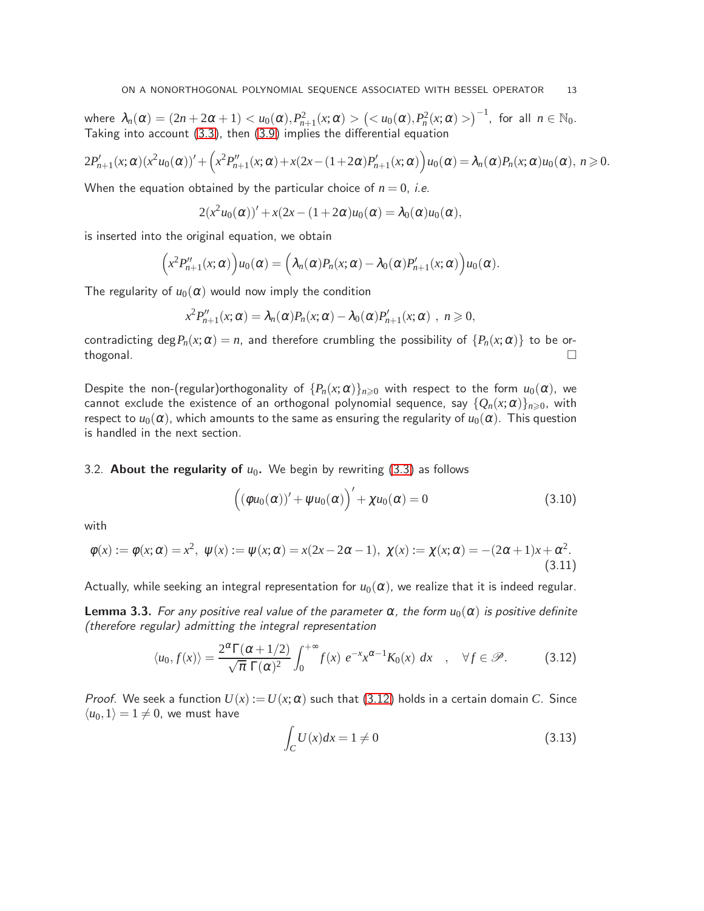where  $\lambda_n(\alpha) = (2n+2\alpha+1) < u_0(\alpha), P_{n+1}^2(x;\alpha) > \left(  \right)^{-1}$ , for all  $n \in \mathbb{N}_0$ . Taking into account [\(3.3\)](#page-10-1), then [\(3.9\)](#page-11-2) implies the differential equation

$$
2P'_{n+1}(x;\alpha)(x^2u_0(\alpha))'+\left(x^2P''_{n+1}(x;\alpha)+x(2x-(1+2\alpha)P'_{n+1}(x;\alpha)\right)u_0(\alpha)=\lambda_n(\alpha)P_n(x;\alpha)u_0(\alpha),\ n\geqslant 0.
$$

When the equation obtained by the particular choice of  $n = 0$ , *i.e.* 

$$
2(x2u0(\alpha))'+x(2x-(1+2\alpha)u0(\alpha)=\lambda_0(\alpha)u0(\alpha),
$$

is inserted into the original equation, we obtain

$$
(x^2 P''_{n+1}(x;\alpha))u_0(\alpha) = (\lambda_n(\alpha)P_n(x;\alpha) - \lambda_0(\alpha)P'_{n+1}(x;\alpha))u_0(\alpha).
$$

The regularity of  $u_0(\alpha)$  would now imply the condition

$$
x^2 P''_{n+1}(x;\alpha) = \lambda_n(\alpha) P_n(x;\alpha) - \lambda_0(\alpha) P'_{n+1}(x;\alpha) , n \geq 0,
$$

contradicting deg $P_n(x; \alpha) = n$ , and therefore crumbling the possibility of  $\{P_n(x; \alpha)\}\)$  to be or-<br>thogonal. thogonal.  $\square$ 

Despite the non-(regular)orthogonality of  $\{P_n(x;\alpha)\}_{n\geqslant0}$  with respect to the form  $u_0(\alpha)$ , we cannot exclude the existence of an orthogonal polynomial sequence, say  $\{Q_n(x;\alpha)\}_{n\geq 0}$ , with respect to  $u_0(\alpha)$ , which amounts to the same as ensuring the regularity of  $u_0(\alpha)$ . This question is handled in the next section.

## <span id="page-12-0"></span>3.2. **About the regularity of**  $u_0$ **.** We begin by rewriting [\(3.3\)](#page-10-1) as follows

<span id="page-12-2"></span>
$$
((\phi u_0(\alpha))' + \psi u_0(\alpha))' + \chi u_0(\alpha) = 0
$$
\n(3.10)

with

$$
\phi(x) := \phi(x; \alpha) = x^2, \ \psi(x) := \psi(x; \alpha) = x(2x - 2\alpha - 1), \ \chi(x) := \chi(x; \alpha) = -(2\alpha + 1)x + \alpha^2.
$$
\n(3.11)

Actually, while seeking an integral representation for  $u_0(\alpha)$ , we realize that it is indeed regular.

**Lemma 3.3.** For any positive real value of the parameter  $\alpha$ , the form  $u_0(\alpha)$  is positive definite (therefore regular) admitting the integral representation

<span id="page-12-1"></span>
$$
\langle u_0, f(x) \rangle = \frac{2^{\alpha} \Gamma(\alpha + 1/2)}{\sqrt{\pi} \Gamma(\alpha)^2} \int_0^{+\infty} f(x) e^{-x} x^{\alpha - 1} K_0(x) dx \quad , \quad \forall f \in \mathcal{P}.
$$
 (3.12)

*Proof.* We seek a function  $U(x) := U(x; \alpha)$  such that [\(3.12\)](#page-12-1) holds in a certain domain *C*. Since  $\langle u_0, 1 \rangle = 1 \neq 0$ , we must have

<span id="page-12-3"></span>
$$
\int_C U(x)dx = 1 \neq 0
$$
\n(3.13)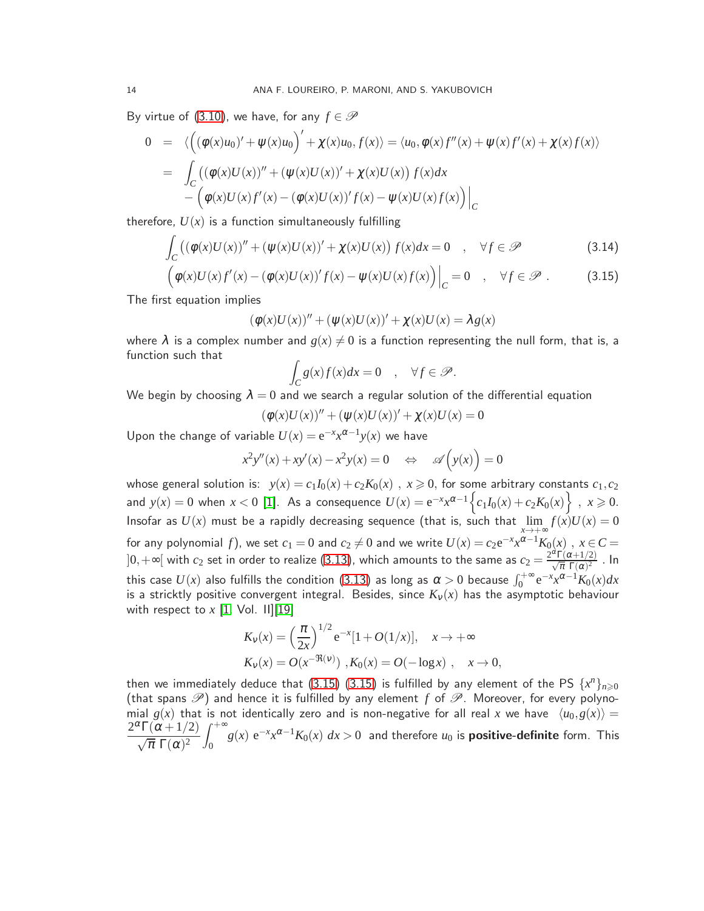By virtue of [\(3.10\)](#page-12-2), we have, for any  $f \in \mathscr{P}$ 

$$
0 = \left\langle \left( (\phi(x)u_0)' + \psi(x)u_0 \right)' + \chi(x)u_0, f(x) \right\rangle = \langle u_0, \phi(x)f''(x) + \psi(x)f'(x) + \chi(x)f(x) \rangle
$$
  
\n
$$
= \int_C \left( (\phi(x)U(x))'' + (\psi(x)U(x))' + \chi(x)U(x) \right) f(x) dx
$$
  
\n
$$
- \left( \phi(x)U(x)f'(x) - (\phi(x)U(x))'f(x) - \psi(x)U(x)f(x) \right) \Big|_C
$$

therefore,  $U(x)$  is a function simultaneously fulfilling

$$
\int_C \left( (\phi(x)U(x))'' + (\psi(x)U(x))' + \chi(x)U(x) \right) f(x) dx = 0 \quad , \quad \forall f \in \mathcal{P} \tag{3.14}
$$

$$
\left( \phi(x)U(x)f'(x) - (\phi(x)U(x))'f(x) - \psi(x)U(x)f(x) \right) \Big|_{C} = 0 \quad , \quad \forall f \in \mathscr{P} \; . \tag{3.15}
$$

The first equation implies

$$
(\phi(x)U(x))'' + (\psi(x)U(x))' + \chi(x)U(x) = \lambda g(x)
$$

where  $\lambda$  is a complex number and  $g(x) \neq 0$  is a function representing the null form, that is, a function such that

<span id="page-13-0"></span>
$$
\int_C g(x)f(x)dx = 0 \quad , \quad \forall f \in \mathscr{P}.
$$

We begin by choosing  $\lambda = 0$  and we search a regular solution of the differential equation

$$
(\phi(x)U(x))'' + (\psi(x)U(x))' + \chi(x)U(x) = 0
$$

Upon the change of variable  $U(x) = e^{-x}x^{\alpha-1}y(x)$  we have

$$
x^{2}y''(x) + xy'(x) - x^{2}y(x) = 0 \quad \Leftrightarrow \quad \mathscr{A}(y(x)) = 0
$$

whose general solution is:  $y(x) = c_1I_0(x) + c_2K_0(x)$ ,  $x \ge 0$ , for some arbitrary constants  $c_1, c_2$ and  $y(x) = 0$  when  $x < 0$  [\[1\]](#page-14-0). As a consequence  $U(x) = e^{-x}x^{\alpha-1}\Big\{c_1I_0(x) + c_2K_0(x)\Big\}$ ,  $x \ge 0$ . Insofar as  $U(x)$  must be a rapidly decreasing sequence (that is, such that  $\lim$ *x*→+∞  $f(x)U(x) = 0$ for any polynomial f), we set  $c_1 = 0$  and  $c_2 \neq 0$  and we write  $U(x) = c_2 e^{-x} x^{\alpha-1} K_0(x)$ ,  $x \in C =$  $]0,+\infty[$  with  $c_2$  set in order to realize [\(3.13\)](#page-12-3), which amounts to the same as  $c_2=\frac{2^\alpha\Gamma(\alpha+1/2)}{\sqrt{\pi}\,\,\Gamma(\alpha)^2}$  . In this case  $U(x)$  also fulfills the condition [\(3.13\)](#page-12-3) as long as  $\alpha > 0$  because  $\int_0^{+\infty} \mathrm{e}^{-x} x^{\alpha-1} K_0(x) dx$ is a stricktly positive convergent integral. Besides, since  $K_v(x)$  has the asymptotic behaviour with respect to  $x$  [\[1,](#page-14-0) Vol. II][\[19\]](#page-15-0)

$$
K_v(x) = \left(\frac{\pi}{2x}\right)^{1/2} e^{-x} [1 + O(1/x)], \quad x \to +\infty
$$
  

$$
K_v(x) = O(x^{-\Re(v)}) , K_0(x) = O(-\log x) , \quad x \to 0,
$$

then we immediately deduce that [\(3.15\) \(3.15\)](#page-13-0) is fulfilled by any element of the PS  $\{x^n\}_{n\geqslant 0}$ (that spans  $\mathscr{P}$ ) and hence it is fulfilled by any element *f* of  $\mathscr{P}$ . Moreover, for every polynomial  $g(x)$  that is not identically zero and is non-negative for all real x we have  $\langle u_0, g(x) \rangle =$  $2^{\alpha}\Gamma(\alpha+1/2)$  $\sqrt{\pi} \Gamma(\alpha)^2$  $\int^{+\infty}$  $\int_0^{\infty} g(x) \, \mathrm{e}^{-x} x^{\alpha-1} K_0(x) \; dx > 0$  and therefore  $u_0$  is **positive-definite** form. This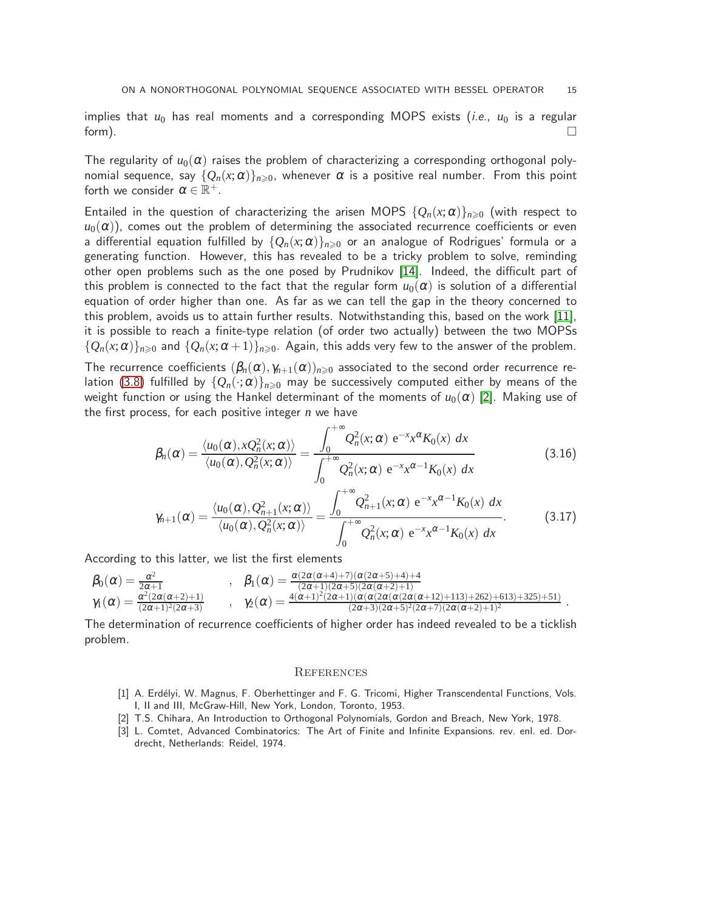implies that  $u_0$  has real moments and a corresponding MOPS exists (*i.e.*,  $u_0$  is a regular form).  $\qquad \qquad \Box$ 

The regularity of  $u_0(\alpha)$  raises the problem of characterizing a corresponding orthogonal polynomial sequence, say  ${Q_n(x;\alpha)}_{n\geq 0}$ , whenever  $\alpha$  is a positive real number. From this point forth we consider  $\alpha \in \mathbb{R}^+$ .

Entailed in the question of characterizing the arisen MOPS  $\{Q_n(x;\alpha)\}_{n\geq 0}$  (with respect to  $u_0(\alpha)$ ), comes out the problem of determining the associated recurrence coefficients or even a differential equation fulfilled by  $\{Q_n(x;\alpha)\}_{n\geqslant 0}$  or an analogue of Rodrigues' formula or a generating function. However, this has revealed to be a tricky problem to solve, reminding other open problems such as the one posed by Prudnikov [\[14\]](#page-15-12). Indeed, the difficult part of this problem is connected to the fact that the regular form  $u_0(\alpha)$  is solution of a differential equation of order higher than one. As far as we can tell the gap in the theory concerned to this problem, avoids us to attain further results. Notwithstanding this, based on the work [\[11\]](#page-15-13), it is possible to reach a finite-type relation (of order two actually) between the two MOPSs  $\{Q_n(x;\alpha)\}_{n\geq 0}$  and  $\{Q_n(x;\alpha+1)\}_{n\geq 0}$ . Again, this adds very few to the answer of the problem.

The recurrence coefficients  $(\beta_n(\alpha), \gamma_{n+1}(\alpha))_{n\geqslant 0}$  associated to the second order recurrence re-lation [\(3.8\)](#page-11-3) fulfilled by  $\{Q_n(\cdot;\alpha)\}_{n\geqslant0}$  may be successively computed either by means of the weight function or using the Hankel determinant of the moments of  $u_0(\alpha)$  [\[2\]](#page-14-2). Making use of the first process, for each positive integer *n* we have

$$
\beta_n(\alpha) = \frac{\langle u_0(\alpha), xQ_n^2(x;\alpha) \rangle}{\langle u_0(\alpha), Q_n^2(x;\alpha) \rangle} = \frac{\int_0^{+\infty} Q_n^2(x;\alpha) e^{-x} x^{\alpha} K_0(x) dx}{\int_0^{+\infty} Q_n^2(x;\alpha) e^{-x} x^{\alpha-1} K_0(x) dx}
$$
(3.16)

$$
\gamma_{n+1}(\alpha) = \frac{\langle u_0(\alpha), Q_{n+1}^2(x; \alpha) \rangle}{\langle u_0(\alpha), Q_n^2(x; \alpha) \rangle} = \frac{\int_0^{+\infty} Q_{n+1}^2(x; \alpha) e^{-x} x^{\alpha-1} K_0(x) dx}{\int_0^{+\infty} Q_n^2(x; \alpha) e^{-x} x^{\alpha-1} K_0(x) dx}.
$$
(3.17)

According to this latter, we list the first elements

$$
\begin{array}{llll} \beta_0(\alpha)=\frac{\alpha^2}{2\alpha+1} & , & \beta_1(\alpha)=\frac{\alpha(2\alpha(\alpha+4)+7)(\alpha(2\alpha+5)+4)+4}{(2\alpha+1)(2\alpha+5)(2\alpha(\alpha+2)+1)}\\ \gamma_1(\alpha)=\frac{\alpha^2(2\alpha(\alpha+2)+1)}{(2\alpha+1)^2(2\alpha+3)} & , & \gamma_2(\alpha)=\frac{4(\alpha+1)^2(2\alpha+1)(\alpha(\alpha(2\alpha(\alpha(2\alpha(\alpha+12)+113)+262)+613)+325)+51)}{(2\alpha+3)(2\alpha+5)^2(2\alpha+7)(2\alpha(\alpha+2)+1)^2}~. \end{array}
$$

The determination of recurrence coefficients of higher order has indeed revealed to be a ticklish problem.

#### **REFERENCES**

- <span id="page-14-0"></span>[1] A. Erdélyi, W. Magnus, F. Oberhettinger and F. G. Tricomi, Higher Transcendental Functions, Vols. I, II and III, McGraw-Hill, New York, London, Toronto, 1953.
- <span id="page-14-2"></span>[2] T.S. Chihara, An Introduction to Orthogonal Polynomials, Gordon and Breach, New York, 1978.
- <span id="page-14-1"></span>[3] L. Comtet, Advanced Combinatorics: The Art of Finite and Infinite Expansions. rev. enl. ed. Dordrecht, Netherlands: Reidel, 1974.